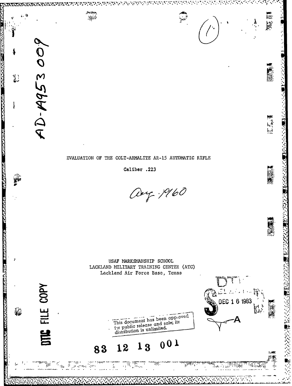

ii9

""

江石溪

(大阪の)

### EVALUATION OF THE COLT-ARMALITE AR-15 AUTOMATIC RIFLE

কৰ্মৰ ক্ষেত্ৰ

 $\mathbb{R}^{d}$ 

INTOZETAK GUNKAN GARTZELERIK INGENIA

AD-A953009

FILE COPY

**HE** 

E

CONTROLLED BANK

**RA HIRZSTANDING 100** 

纂

Caliber .223

Oug. 1960

লাময়ে মাজাৰম্ব

USAF MARKSMANSHIP SCHOOL LACKLAND MILITARY TRAINING CENTER (ATC) Lackland Air Force Base, Texas



्राम्

1924 | 1400 PM

#### $001$ 13 12 83

ś,

DEC 1 6 1983

تعدرا 99 H H  $\mathbb{R}^n$  is spec  $\mathcal{H}_{\text{H}}$  and  $\mathcal{H}_{\text{H}}$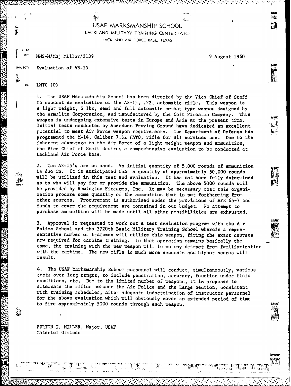# USAF MARKSMANSHIP SCHOOL LACKLAND MILITARY TRAINING CENTER (ATC) LACKLAND AIR FORCE BASE, TEXAS

OF' MMS-M/Maj Miller/3139 9 August 1960

 $\frac{1}{2}$  .

**SUBJECT:** Evaluation of AR-15

#### **7o. LMTC (0)**

- **: Z:"**

**TO**

1. The USAF Marksmanship School has been directed by the Vice Chief of Staff to conduct an evaluation of the AR-15, .22, automatic rifle. This weapon is a light weight, 6 ibs, semi and full automatic combat type weapon designed by the Armalite Corporation, and manufactured by the Colt Firearms Company. This weapon is undergoing extensive tests in Europe and Asia at the present time. Initial tests conducted by Aberdeen Proving Ground have indicated an excellent potential to meet Air Force weapon requirements. The Department of Defense has programmed the M-14, Caliber 7.62 MATO, rifle for all services use. Due to the inherent advantage to the Air Force of a light weight weapon and ammunition, the Vice Chief of Staff desires a comprehensive evaluation to be conducted at Lackland Air Force Base.

2. Ten AR-15's are on hand. An initial quantity of **5,000** rounds of amnunition is duo in. It is anticipated that a quantity of approximately  $50,000$  rounds will be utilized in this test and evaluation. It has not been fully determined as to who will pay for or provide the ammunition. The above **5000** rounds will be provided by Remington Firearms, Inc. It may be necessary that this organization procure some quantity of the ammunition that is not forthcoming from other sources. Procurement is authorized under the provisions of AFR 65-7 and funds to cover the requirement are contained in our budget. No attempt to purchase ammunition will be made until all other possibilities are exhausted.

**3.** Approval **In** requested to work out a test evaluation program with the Air Police School and the 3720th Basic Military Training School uherein a representative number of trainees will utilize this weapon, firing the exact courses **now** required for carbine training. In that operation remains basically the same, the training with the new weapon will in no way detract from familiarization with the carbine. The new zifle is much more accurate and higher scores will result.

4. The USAF Marksmanship School personnel will conduct, simultaneously, various tests over long ranges, to include penetration, accuracy, function under field conditions, etc. Due to the limited number of weapons, it is proposed to alternate the rifles between the Air Police and the Range Section, consistent with training schedules, after adequate indoctrination of instructor personnel for the above evaluation which will obviously cover an extended period of time to fire approximately 5000 rounds through each weapon.

BURTON T. MILLER, Major, USAF Materiel Officer

............................. **.know.**

**3j**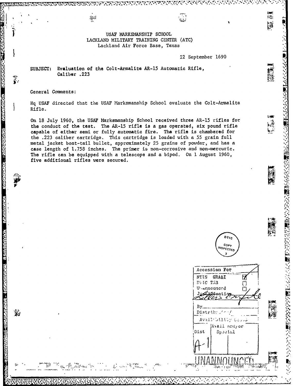USAF MARKSMANSHIP SCHOOL LACKLAND MILITARY TRAINING CENTER (ATC) Lackland Air Force Base, Texas

22 September 1690

 $t_i t_i$ bij

2002年の日本のこの公開の2002年によっているというというというのか、そのことには、

Evaluation of the Colt-Armalite AR-15 Automatic Rifle, SUBJECT: Caliber .223

ăpii

General Comments:

**BOOK CREAKS ANDERSON, ANDERSON, REG** 

「「味味」

ريخ<br>تونگ

 $\mathbb{R}$ 

Hq USAF directed that the USAF Marksmanship School evaluate the Colt-Armalite Rifle.

On 18 July 1960, the USAF Marksmanship School received three AR-15 rifles for the conduct of the test. The AR-15 rifle is a gas operated, six pound rifle capable of either semi or fully automatic fire. The rifle is chambered for the .223 caliber cartridge. This cartridge is loaded with a 55 grain full metal jacket boat-tail bullet, approximately 25 grains of powder, and has a case length of 1.758 inches. The primer is non-corrosive and non-mercuric. The rifle can be equipped with a telescope and a bipod. On 1 August 1960, five additional rifles were secured.

 $OTI$ COPV INSPECTED

7

ពា

łТ

Accession For NTIS GRA&I

Ditc TAB

By.

Dist

U-announced

Distributer/

Availtbility Could Avail and or

Special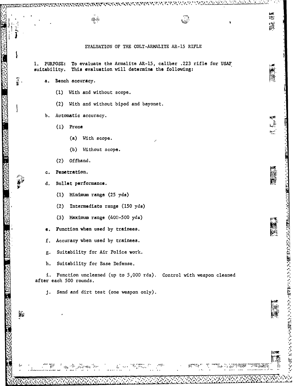EVALUATION OF THE COLT-ARMALITE AR-15 RIFLE

75,

រ្តារ្តី<br>ព្រឹក

h."

やんて 天 ややいやか いっかい かまおく かんかん かんきょう かんきょう かんせい

 $1.$ PURPOSE: To evaluate the Armalite AR-15, caliber .223 rifle for USAF This evaluation will determine the following: suitability.

- Bench accuracy. a.
	- (1) With and without scope.

የአማዊሻ የሚሉ የአማርዎች የሚሉ ጥር ካሉ ጥር

 $\frac{1}{2}$  .

- (2) With and without bipod and bayonet.
- Automatic accuracy. Ъ.
	- $(1)$  Prone
		- (a) With scope.
		- (b) Without scope.
	- $(2)$  Offhand.
- Penetration.

Ş,

- Bullet performance. d.
	- (1) Minimum range (25 yds)
	- Intermediate range (150 yds)  $(2)$
	- $(3)$  Maximum range  $(400 500$  yds)
- Function when used by trainees.
- Accuracy when used by trainees. f.
- Suitability for Air Police work.  $g$ .
- h. Suitability for Base Defense.

galawa iliku

Function uncleaned (up to 5,000 rds). Control with weapon cleaned  $1.$ after each 500 rounds.

Sand and dirt test (one weapon only).  $\mathbf{j}$ .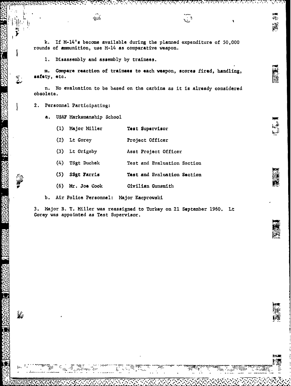**k. If** M-14's become available during the planned expenditure of **50,000** rounds of ammunition, use M-14 as comparative weapon.

وبي.<br>من

**1.** Disassembly and assembly **by** trainees.

 $\frac{1}{4}$ 

**m. Compare reaction of trainees** to each weapon, scores fired, handling, **safety,** etc.

n. Ho evaluation to be based on the carbine as it is already considered obsolete.

2. Personnel Participating!

變

a. **USAF Marksmanship School** 

- **(1)** Major Miller **Test** Supervisor
- (2) Lt Gorey Project Officer
- **(3)** Lt Grigsby Asst Project Officer
- (4) TSgt Duchek Test and Evaluation Section
- **(5)** SSgt Parris Test and Evaluation Section
- . **'(6)** Mr. Joe Cook Civilian Gunsmith F

**b.** Air Police Personnel: Major Kacprowski

3. Major B. T. Miller was reassigned to Turkey on 21 September 1960. Lt Gorey was appointed as Test Supervisor.

.. <sup>r</sup>

**K** *ZZ*

##<br>年年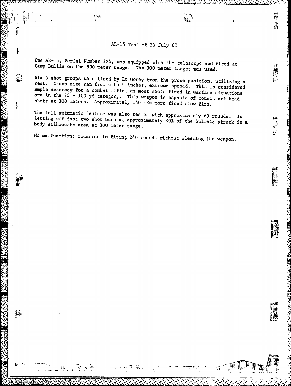## AR-15 Test of 26 July 60

 $\mathbf{v}_i$ 

**bell** 

H.

画画

こうろ へんし お西山

**Report** 

**One** AR-15, Serial Number 324, was equipped with the telescope and fired at Camp Bullis on the 300 meter range. The 300 meter target was used.

 $\tilde{A}^{(1)}_{\rm I}$ 

Six 5 shot groups were fired by Lt Gorey from the prone position, utilizing a rest. Group size ran from 6 to 9 inches, extreme spread. This is considered ample accuracy for a combat rifle, as most shots fired in warfare si are in the 75 - 100 yd category. This wapon is capable of consistent head shots at 300 meters. Approximately 140  $-$ ds were fired slow fire.

4

 $m_{\tau}$ 

The full automatic feature was also tested with approximately 60 rounds. In nada<br>body as a structure was also tested with approximately 60 rounds. In the particle with the proximately 60 rounds. In<br>reg off fast two shot bursts, approximately 80% of the bullets struck in a silhouette area at 300 meter range.

No malfunctions occurred in firing 240 rounds without cleaning the weapon.

V .....

78  $\sim$  10  $\sim$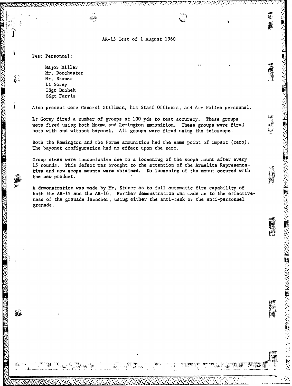### AR-15 Test of 1 August 1960

Test Personnel:

**CASE AND CASE** 

Major Miller Mr. Dorchester Mr. Stoner Lt Gorey TSgt Duchek SSgt Farris

 $\mathbf{q}$ 

Also present were General Stillman, his Staff Officers, and Air Police personnel.

Lt Gorey fired a number of groups at 100 yds to test accuracy. These groups were fired using both Norma and Remington ammunition. These groups were fired both with and without bayonet. All groups were fired using the telescope.

Both the Remington and the Norma ammunition had the same point of impact (zero). The bayonet configuration had no effect upon the zero.

Group sizes were inconclusive due to a loosening of the scope mount after every 15 rounds. This defect was brought to the attention of the Armalite Representative and new scope mounts were obtained. No loosening of the mount occured with the new product.

A demonstration was made by Mr. Stoner as to full automatic fire capability of both the AR-15 and the AR-10. Further demonstration was made as to the effectiveness of the grenade launcher, using either the anti-tank or the anti-personnel grenade.

**のたいは、そのことに、「そのことには、このことに、このことに、このことになることになる」** 

iĝ.

iji.<br>K

可能者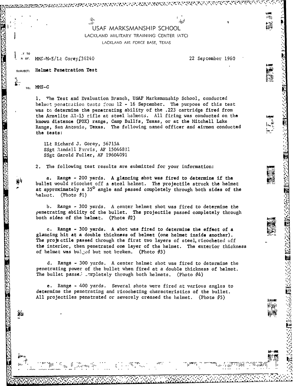USAF MARKSMANSHIP SCHOOL

LACKLAND MILITARY TRAINING CENTER (ATC) LACKLAND AIR FORCE BASE, TEXAS

RENT REVENT TO

 $\mathfrak{so}^l$ 

N OF. MMS-M-E/Lt Gorey<sup>236240</sup> 22 September 1960

#### **SUBJECT:** Helmet Penetration Test

MMS-C **TO:** 

**X .Y TO**

**BEARTON BEATING** 

**I.** The Test and Evaluation Branch, USAF Marksmanship School, conducted helmet penetraition toto 12 **-** 16 September. The purpose of this test was to determine the penetrating ability of the .223 cartridge fired from the Armalite AR-15 rifle at steel halmets. All firing was conducted on the known distance (FOX) range, Camp Bullis, Texas, or at the Mitchell Lake **"** Range, San Antonio, Texas. The following named officer and airmen conducted the tests:

llt Richard **J.** Gorey, 56715A SSgt Randall Farris, AF 15046831 SSgt Garold Fuller, AF 19604091

 $\mathcal{L}_{\mathcal{L}}$  .

2. The following test results are submitted for your information:

a. Range - 200 yards. A glancing **shot** was fired to determine if the bullet would ricochet off a steel helmet. The projectile struck the helmet at approximately a **350** angle **and** passed completely through both sides of the helmet. (Photo *#1*)

b. Range - 300 yards. A center helmet shot was fired to determine the penetrating ability of the bullet. The projectile passed completely through both sides of the helmet. (Phote  $\#2$ )

c. Range **-** 300 yards. A shot was fired to determine the effect of a glancing hit at a double thickness of helmet (one helmet inside another). The projectile passed through the first two layers of steel, ricocheted off the interior, then penetrated one layer of the helmet. The exterior thickness of helmet was buijed but not broken. (Photo  $#3$ )

d. Range - 300 yards. A center helmet shot was fired to determine the penetrating power of the bullet when fired at a double thickness of helmet. The bullet passe.  $\text{Im}\left\{ \text{h} \right\}$  through both helmets. (Photo  $\#4$ )

e. Range - 400 yards. Several shots were fired at various angles to determine the penetrating and ricocheting characteristics of the bullet. All projectiles penetrated or severely creased the helmet. (Photo **95)** *,*

**.-. , . . .** .. *., ,* **. . .** -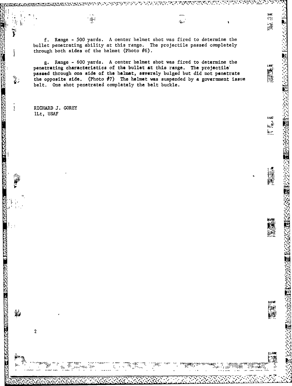f. Range - 500 yards. A center helmet shot was fired to determine the bullet penetrating ability at this range. The projectile passed completely through both sides of the helmet (Photo  $\hat{\psi}$ 6).

 $\dot{\mathbf{u}}$  .

 $\frac{1}{2}$ 

g. Range - 600 yards. A center helmet shot was fired to determine the<br>penetrating characteristics of the bullet at this range. The projectile'<br>passed through one side of the helmet, severely bulged but did not penetrate<br>th passed through one side of the helmet, severely bulged but did not penetrate the opposite side. (Photo  $\hat{\phi}$ 7) The helmet was suspended by a government issue belt. One shot penetrated completely the belt buckle.

RICHARD **J.** GOREY lLt, **USAF~**

Ìł.

ĩ

ia.<br>Bio

Ţ

**RESERVED AND RESERVED BY A RELEASED FOR A RELEASED** 

**THE REAL CONSTANTING TO A REPORT OF THE CONSTANTION** 

.<br>نانگر

yis n

 $\mathcal{U}$  .

 $\overline{c}$ 

**. . .** 

**個性的な状態的な状態を実現し、その種類などの感染を見られる。** 

ing<br>Kal

LAST  $\mathbf{k}^{\frac{1}{2}}$  $\frac{1}{2}$ 

阱

 $\ddot{\phantom{a}}$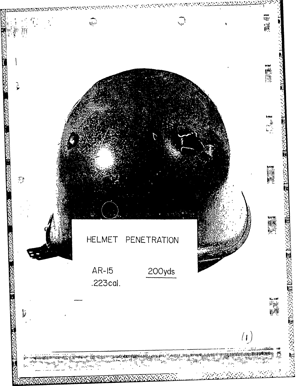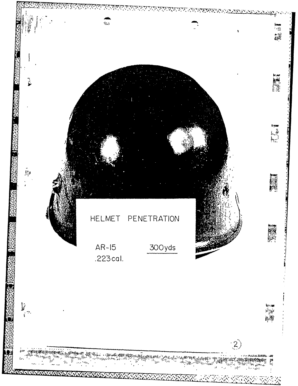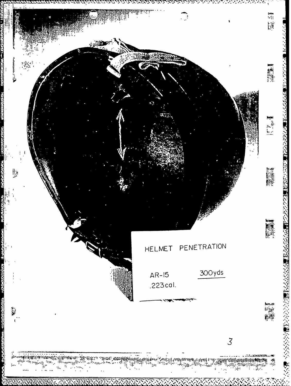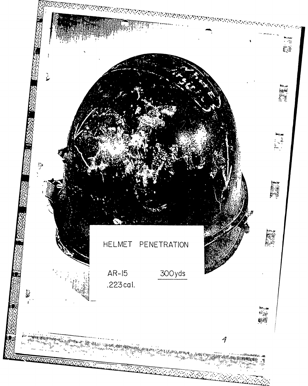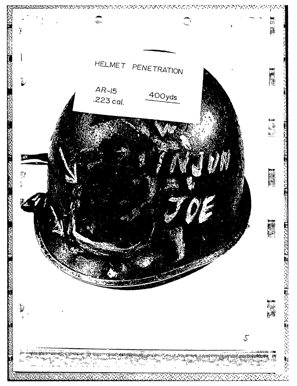